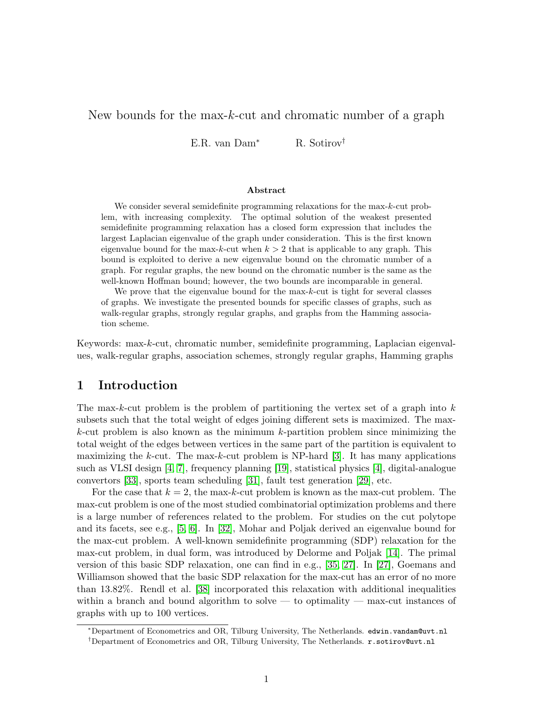# New bounds for the max-k-cut and chromatic number of a graph

E.R. van Dam<sup>∗</sup> R. Sotirov†

### Abstract

We consider several semidefinite programming relaxations for the max-k-cut problem, with increasing complexity. The optimal solution of the weakest presented semidefinite programming relaxation has a closed form expression that includes the largest Laplacian eigenvalue of the graph under consideration. This is the first known eigenvalue bound for the max-k-cut when  $k > 2$  that is applicable to any graph. This bound is exploited to derive a new eigenvalue bound on the chromatic number of a graph. For regular graphs, the new bound on the chromatic number is the same as the well-known Hoffman bound; however, the two bounds are incomparable in general.

We prove that the eigenvalue bound for the max-k-cut is tight for several classes of graphs. We investigate the presented bounds for specific classes of graphs, such as walk-regular graphs, strongly regular graphs, and graphs from the Hamming association scheme.

Keywords: max-k-cut, chromatic number, semidefinite programming, Laplacian eigenvalues, walk-regular graphs, association schemes, strongly regular graphs, Hamming graphs

## 1 Introduction

The max-k-cut problem is the problem of partitioning the vertex set of a graph into  $k$ subsets such that the total weight of edges joining different sets is maximized. The max $k$ -cut problem is also known as the minimum  $k$ -partition problem since minimizing the total weight of the edges between vertices in the same part of the partition is equivalent to maximizing the k-cut. The max-k-cut problem is NP-hard  $[3]$ . It has many applications such as VLSI design [\[4,](#page-14-0) [7\]](#page-14-1), frequency planning [\[19\]](#page-14-2), statistical physics [\[4\]](#page-14-0), digital-analogue convertors [\[33\]](#page-15-0), sports team scheduling [\[31\]](#page-15-1), fault test generation [\[29\]](#page-15-2), etc.

For the case that  $k = 2$ , the max-k-cut problem is known as the max-cut problem. The max-cut problem is one of the most studied combinatorial optimization problems and there is a large number of references related to the problem. For studies on the cut polytope and its facets, see e.g., [\[5,](#page-14-3) [6\]](#page-14-4). In [\[32\]](#page-15-3), Mohar and Poljak derived an eigenvalue bound for the max-cut problem. A well-known semidefinite programming (SDP) relaxation for the max-cut problem, in dual form, was introduced by Delorme and Poljak [\[14\]](#page-14-5). The primal version of this basic SDP relaxation, one can find in e.g., [\[35,](#page-15-4) [27\]](#page-15-5). In [\[27\]](#page-15-5), Goemans and Williamson showed that the basic SDP relaxation for the max-cut has an error of no more than 13.82%. Rendl et al. [\[38\]](#page-15-6) incorporated this relaxation with additional inequalities within a branch and bound algorithm to solve — to optimality — max-cut instances of graphs with up to 100 vertices.

<sup>∗</sup>Department of Econometrics and OR, Tilburg University, The Netherlands. edwin.vandam@uvt.nl

<sup>†</sup>Department of Econometrics and OR, Tilburg University, The Netherlands. r.sotirov@uvt.nl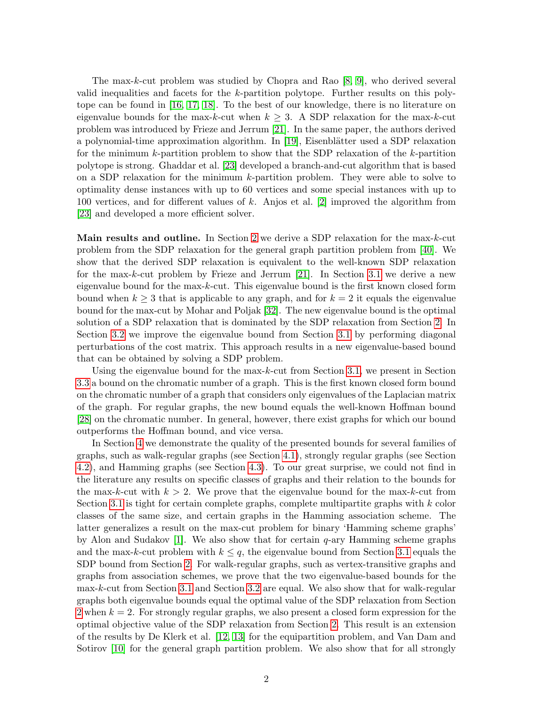The max-k-cut problem was studied by Chopra and Rao [\[8,](#page-14-6) [9\]](#page-14-7), who derived several valid inequalities and facets for the k-partition polytope. Further results on this polytope can be found in [\[16,](#page-14-8) [17,](#page-14-9) [18\]](#page-14-10). To the best of our knowledge, there is no literature on eigenvalue bounds for the max-k-cut when  $k \geq 3$ . A SDP relaxation for the max-k-cut problem was introduced by Frieze and Jerrum [\[21\]](#page-14-11). In the same paper, the authors derived a polynomial-time approximation algorithm. In  $[19]$ , Eisenblätter used a SDP relaxation for the minimum k-partition problem to show that the SDP relaxation of the k-partition polytope is strong. Ghaddar et al. [\[23\]](#page-14-12) developed a branch-and-cut algorithm that is based on a SDP relaxation for the minimum k-partition problem. They were able to solve to optimality dense instances with up to 60 vertices and some special instances with up to 100 vertices, and for different values of k. Anjos et al. [\[2\]](#page-13-1) improved the algorithm from [\[23\]](#page-14-12) and developed a more efficient solver.

Main results and outline. In Section [2](#page-2-0) we derive a SDP relaxation for the max-k-cut problem from the SDP relaxation for the general graph partition problem from [\[40\]](#page-15-7). We show that the derived SDP relaxation is equivalent to the well-known SDP relaxation for the max-k-cut problem by Frieze and Jerrum  $[21]$ . In Section [3.1](#page-4-0) we derive a new eigenvalue bound for the max-k-cut. This eigenvalue bound is the first known closed form bound when  $k \geq 3$  that is applicable to any graph, and for  $k = 2$  it equals the eigenvalue bound for the max-cut by Mohar and Poljak [\[32\]](#page-15-3). The new eigenvalue bound is the optimal solution of a SDP relaxation that is dominated by the SDP relaxation from Section [2.](#page-2-0) In Section [3.2](#page-5-0) we improve the eigenvalue bound from Section [3.1](#page-4-0) by performing diagonal perturbations of the cost matrix. This approach results in a new eigenvalue-based bound that can be obtained by solving a SDP problem.

Using the eigenvalue bound for the max-k-cut from Section [3.1,](#page-4-0) we present in Section [3.3](#page-6-0) a bound on the chromatic number of a graph. This is the first known closed form bound on the chromatic number of a graph that considers only eigenvalues of the Laplacian matrix of the graph. For regular graphs, the new bound equals the well-known Hoffman bound [\[28\]](#page-15-8) on the chromatic number. In general, however, there exist graphs for which our bound outperforms the Hoffman bound, and vice versa.

In Section [4](#page-7-0) we demonstrate the quality of the presented bounds for several families of graphs, such as walk-regular graphs (see Section [4.1\)](#page-8-0), strongly regular graphs (see Section [4.2\)](#page-10-0), and Hamming graphs (see Section [4.3\)](#page-11-0). To our great surprise, we could not find in the literature any results on specific classes of graphs and their relation to the bounds for the max-k-cut with  $k > 2$ . We prove that the eigenvalue bound for the max-k-cut from Section [3.1](#page-4-0) is tight for certain complete graphs, complete multipartite graphs with  $k$  color classes of the same size, and certain graphs in the Hamming association scheme. The latter generalizes a result on the max-cut problem for binary 'Hamming scheme graphs' by Alon and Sudakov [\[1\]](#page-13-2). We also show that for certain  $q$ -ary Hamming scheme graphs and the max-k-cut problem with  $k \leq q$ , the eigenvalue bound from Section [3.1](#page-4-0) equals the SDP bound from Section [2.](#page-2-0) For walk-regular graphs, such as vertex-transitive graphs and graphs from association schemes, we prove that the two eigenvalue-based bounds for the max-k-cut from Section [3.1](#page-4-0) and Section [3.2](#page-5-0) are equal. We also show that for walk-regular graphs both eigenvalue bounds equal the optimal value of the SDP relaxation from Section [2](#page-2-0) when  $k = 2$ . For strongly regular graphs, we also present a closed form expression for the optimal objective value of the SDP relaxation from Section [2.](#page-2-0) This result is an extension of the results by De Klerk et al. [\[12,](#page-14-13) [13\]](#page-14-14) for the equipartition problem, and Van Dam and Sotirov [\[10\]](#page-14-15) for the general graph partition problem. We also show that for all strongly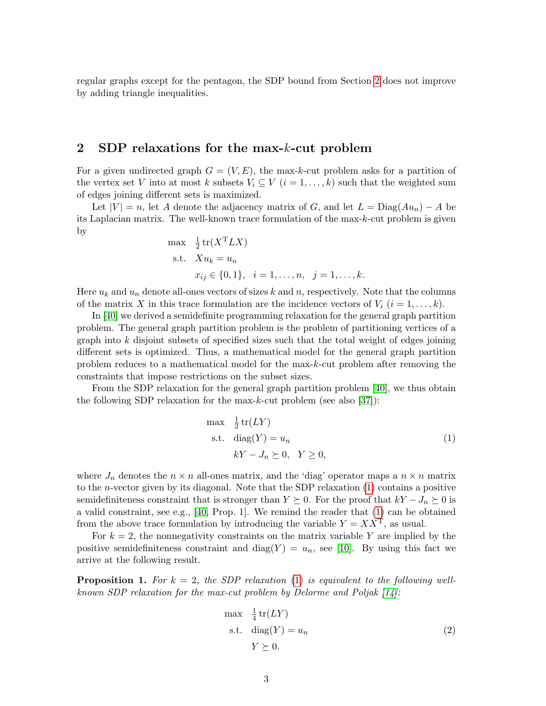regular graphs except for the pentagon, the SDP bound from Section [2](#page-2-0) does not improve by adding triangle inequalities.

## <span id="page-2-0"></span>2 SDP relaxations for the max-k-cut problem

For a given undirected graph  $G = (V, E)$ , the max-k-cut problem asks for a partition of the vertex set V into at most k subsets  $V_i \subseteq V$   $(i = 1, \ldots, k)$  such that the weighted sum of edges joining different sets is maximized.

Let  $|V| = n$ , let A denote the adjacency matrix of G, and let  $L = \text{Diag}(Au_n) - A$  be its Laplacian matrix. The well-known trace formulation of the max-k-cut problem is given by

max 
$$
\frac{1}{2}
$$
 tr( $X^T L X$ )  
s.t.  $X u_k = u_n$   
 $x_{ij} \in \{0, 1\}, \quad i = 1, ..., n, \quad j = 1, ..., k.$ 

Here  $u_k$  and  $u_n$  denote all-ones vectors of sizes k and n, respectively. Note that the columns of the matrix X in this trace formulation are the incidence vectors of  $V_i$   $(i = 1, \ldots, k)$ .

In [\[40\]](#page-15-7) we derived a semidefinite programming relaxation for the general graph partition problem. The general graph partition problem is the problem of partitioning vertices of a graph into  $k$  disjoint subsets of specified sizes such that the total weight of edges joining different sets is optimized. Thus, a mathematical model for the general graph partition problem reduces to a mathematical model for the max-k-cut problem after removing the constraints that impose restrictions on the subset sizes.

From the SDP relaxation for the general graph partition problem [\[40\]](#page-15-7), we thus obtain the following SDP relaxation for the max-k-cut problem (see also [\[37\]](#page-15-9)):

<span id="page-2-1"></span>
$$
\begin{aligned}\n\max \quad & \frac{1}{2} \operatorname{tr}(LY) \\
\text{s.t.} \quad & \operatorname{diag}(Y) = u_n \\
& kY - J_n \succeq 0, \quad Y \ge 0,\n\end{aligned} \tag{1}
$$

where  $J_n$  denotes the  $n \times n$  all-ones matrix, and the 'diag' operator maps a  $n \times n$  matrix to the *n*-vector given by its diagonal. Note that the SDP relaxation  $(1)$  contains a positive semidefiniteness constraint that is stronger than  $Y \succeq 0$ . For the proof that  $kY - J_n \succeq 0$  is a valid constraint, see e.g., [\[40,](#page-15-7) Prop. 1]. We remind the reader that [\(1\)](#page-2-1) can be obtained from the above trace formulation by introducing the variable  $Y = XX<sup>T</sup>$ , as usual.

For  $k = 2$ , the nonnegativity constraints on the matrix variable Y are implied by the positive semidefiniteness constraint and diag(Y) =  $u_n$ , see [\[10\]](#page-14-15). By using this fact we arrive at the following result.

**Proposition 1.** For  $k = 2$ , the SDP relaxation [\(1\)](#page-2-1) is equivalent to the following wellknown SDP relaxation for the max-cut problem by Delorme and Poljak [\[14\]](#page-14-5):

<span id="page-2-2"></span>
$$
\max \frac{1}{4} \operatorname{tr}(LY)
$$
  
s.t. 
$$
\operatorname{diag}(Y) = u_n
$$
  

$$
Y \succeq 0.
$$
 (2)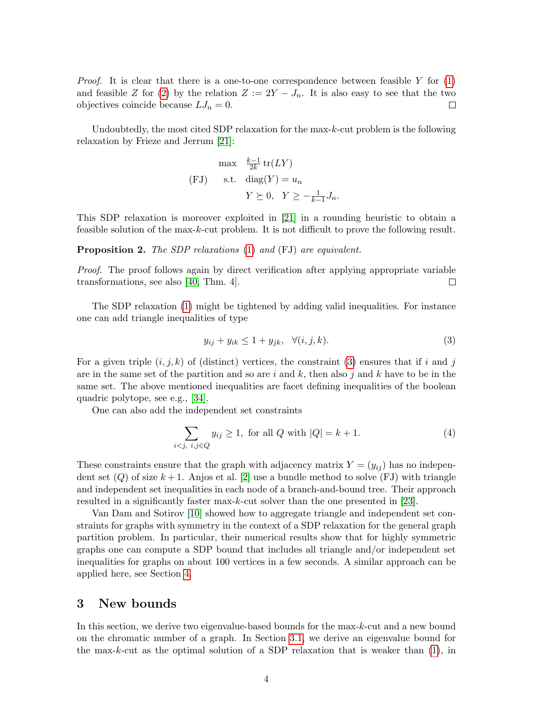*Proof.* It is clear that there is a one-to-one correspondence between feasible Y for  $(1)$ and feasible Z for [\(2\)](#page-2-2) by the relation  $Z := 2Y - J_n$ . It is also easy to see that the two objectives coincide because  $LJ_n = 0$ .  $\Box$ 

Undoubtedly, the most cited SDP relaxation for the max- $k$ -cut problem is the following relaxation by Frieze and Jerrum [\[21\]](#page-14-11):

$$
\begin{aligned}\n\max \quad & \frac{k-1}{2k} \operatorname{tr}(LY) \\
\text{(FJ)} \qquad \text{s.t.} \quad & \operatorname{diag}(Y) = u_n \\
& Y \succeq 0, \quad Y \ge -\frac{1}{k-1} J_n.\n\end{aligned}
$$

This SDP relaxation is moreover exploited in [\[21\]](#page-14-11) in a rounding heuristic to obtain a feasible solution of the max-k-cut problem. It is not difficult to prove the following result.

Proposition 2. The SDP relaxations [\(1\)](#page-2-1) and (FJ) are equivalent.

Proof. The proof follows again by direct verification after applying appropriate variable transformations, see also [\[40,](#page-15-7) Thm. 4].  $\Box$ 

The SDP relaxation [\(1\)](#page-2-1) might be tightened by adding valid inequalities. For instance one can add triangle inequalities of type

<span id="page-3-0"></span>
$$
y_{ij} + y_{ik} \le 1 + y_{jk}, \quad \forall (i, j, k). \tag{3}
$$

For a given triple  $(i, j, k)$  of (distinct) vertices, the constraint [\(3\)](#page-3-0) ensures that if i and j are in the same set of the partition and so are i and k, then also j and k have to be in the same set. The above mentioned inequalities are facet defining inequalities of the boolean quadric polytope, see e.g., [\[34\]](#page-15-10).

One can also add the independent set constraints

<span id="page-3-1"></span>
$$
\sum_{i < j, \ i, j \in Q} y_{ij} \ge 1, \text{ for all } Q \text{ with } |Q| = k + 1. \tag{4}
$$

These constraints ensure that the graph with adjacency matrix  $Y = (y_{ij})$  has no independent set  $(Q)$  of size  $k+1$ . Anjos et al. [\[2\]](#page-13-1) use a bundle method to solve (FJ) with triangle and independent set inequalities in each node of a branch-and-bound tree. Their approach resulted in a significantly faster max-k-cut solver than the one presented in [\[23\]](#page-14-12).

Van Dam and Sotirov [\[10\]](#page-14-15) showed how to aggregate triangle and independent set constraints for graphs with symmetry in the context of a SDP relaxation for the general graph partition problem. In particular, their numerical results show that for highly symmetric graphs one can compute a SDP bound that includes all triangle and/or independent set inequalities for graphs on about 100 vertices in a few seconds. A similar approach can be applied here, see Section [4.](#page-7-0)

## <span id="page-3-2"></span>3 New bounds

In this section, we derive two eigenvalue-based bounds for the max-k-cut and a new bound on the chromatic number of a graph. In Section [3.1,](#page-4-0) we derive an eigenvalue bound for the max-k-cut as the optimal solution of a SDP relaxation that is weaker than  $(1)$ , in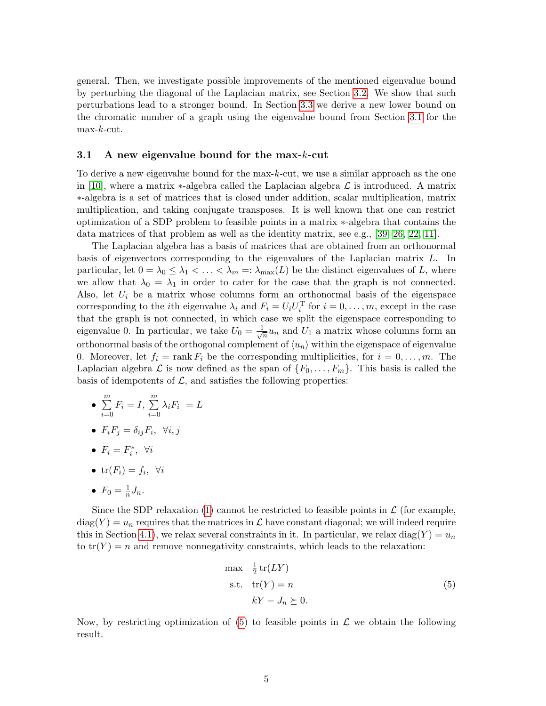general. Then, we investigate possible improvements of the mentioned eigenvalue bound by perturbing the diagonal of the Laplacian matrix, see Section [3.2.](#page-5-0) We show that such perturbations lead to a stronger bound. In Section [3.3](#page-6-0) we derive a new lower bound on the chromatic number of a graph using the eigenvalue bound from Section [3.1](#page-4-0) for the  $max-k$ -cut.

### <span id="page-4-0"></span>3.1 A new eigenvalue bound for the max-k-cut

To derive a new eigenvalue bound for the max-k-cut, we use a similar approach as the one in [\[10\]](#page-14-15), where a matrix  $\ast$ -algebra called the Laplacian algebra  $\mathcal L$  is introduced. A matrix ∗-algebra is a set of matrices that is closed under addition, scalar multiplication, matrix multiplication, and taking conjugate transposes. It is well known that one can restrict optimization of a SDP problem to feasible points in a matrix ∗-algebra that contains the data matrices of that problem as well as the identity matrix, see e.g., [\[39,](#page-15-11) [26,](#page-15-12) [22,](#page-14-16) [11\]](#page-14-17).

The Laplacian algebra has a basis of matrices that are obtained from an orthonormal basis of eigenvectors corresponding to the eigenvalues of the Laplacian matrix L. In particular, let  $0 = \lambda_0 \leq \lambda_1 < \ldots < \lambda_m =: \lambda_{\max}(L)$  be the distinct eigenvalues of L, where we allow that  $\lambda_0 = \lambda_1$  in order to cater for the case that the graph is not connected. Also, let  $U_i$  be a matrix whose columns form an orthonormal basis of the eigenspace corresponding to the *i*th eigenvalue  $\lambda_i$  and  $F_i = U_i U_i^{\mathrm{T}}$  for  $i = 0, \ldots, m$ , except in the case that the graph is not connected, in which case we split the eigenspace corresponding to eigenvalue 0. In particular, we take  $U_0 = \frac{1}{\sqrt{2}}$  $\frac{1}{n}u_n$  and  $U_1$  a matrix whose columns form an orthonormal basis of the orthogonal complement of  $\langle u_n \rangle$  within the eigenspace of eigenvalue 0. Moreover, let  $f_i = \text{rank } F_i$  be the corresponding multiplicities, for  $i = 0, \ldots, m$ . The Laplacian algebra  $\mathcal L$  is now defined as the span of  $\{F_0, \ldots, F_m\}$ . This basis is called the basis of idempotents of  $\mathcal{L}$ , and satisfies the following properties:

- $\bullet$   $\sum_{n=1}^{m}$  $i=0$  $F_i = I, \sum^{m}$  $i=0$  $\lambda_i F_i = L$
- $F_i F_j = \delta_{ij} F_i, \forall i, j$
- $F_i = F_i^*$ ,  $\forall i$
- $\text{tr}(F_i) = f_i, \forall i$

• 
$$
F_0 = \frac{1}{n} J_n.
$$

Since the SDP relaxation [\(1\)](#page-2-1) cannot be restricted to feasible points in  $\mathcal L$  (for example,  $\text{diag}(Y) = u_n$  requires that the matrices in  $\mathcal L$  have constant diagonal; we will indeed require this in Section [4.1\)](#page-8-0), we relax several constraints in it. In particular, we relax diag(Y) =  $u_n$ to  $tr(Y) = n$  and remove nonnegativity constraints, which leads to the relaxation:

<span id="page-4-1"></span>
$$
\begin{aligned}\n\max & \frac{1}{2} \operatorname{tr}(LY) \\
\text{s.t.} & \operatorname{tr}(Y) = n \\
& kY - J_n \succeq 0.\n\end{aligned} \tag{5}
$$

Now, by restricting optimization of  $(5)$  to feasible points in  $\mathcal L$  we obtain the following result.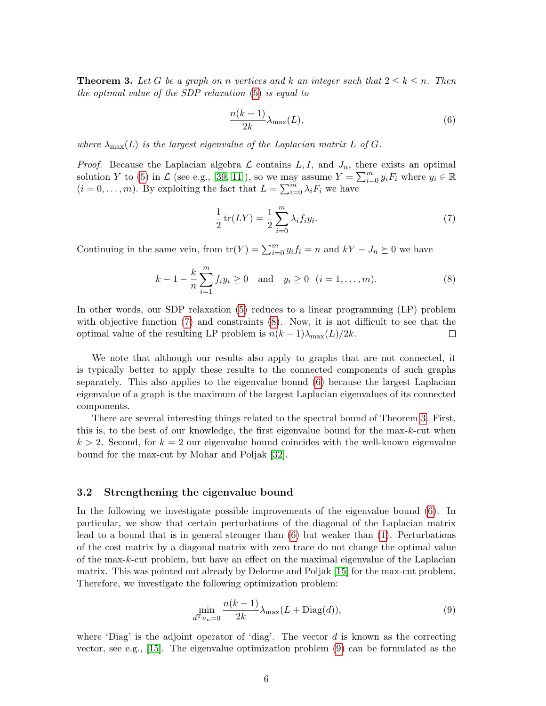<span id="page-5-4"></span>**Theorem 3.** Let G be a graph on n vertices and k an integer such that  $2 \leq k \leq n$ . Then the optimal value of the SDP relaxation [\(5\)](#page-4-1) is equal to

<span id="page-5-3"></span>
$$
\frac{n(k-1)}{2k}\lambda_{\max}(L),\tag{6}
$$

where  $\lambda_{\max}(L)$  is the largest eigenvalue of the Laplacian matrix L of G.

*Proof.* Because the Laplacian algebra  $\mathcal L$  contains  $L, I$ , and  $J_n$ , there exists an optimal solution Y to [\(5\)](#page-4-1) in  $\mathcal L$  (see e.g., [\[39,](#page-15-11) [11\]](#page-14-17)), so we may assume  $Y = \sum_{i=0}^m y_i F_i$  where  $y_i \in \mathbb R$  $(i = 0, \ldots, m)$ . By exploiting the fact that  $L = \sum_{i=0}^{m} \lambda_i F_i$  we have

<span id="page-5-1"></span>
$$
\frac{1}{2}\operatorname{tr}(LY) = \frac{1}{2}\sum_{i=0}^{m} \lambda_i f_i y_i.
$$
 (7)

Continuing in the same vein, from  $tr(Y) = \sum_{i=0}^{m} y_i f_i = n$  and  $kY - J_n \succeq 0$  we have

<span id="page-5-2"></span>
$$
k-1-\frac{k}{n}\sum_{i=1}^{m}f_{i}y_{i}\geq 0
$$
 and  $y_{i}\geq 0$   $(i=1,\ldots,m).$  (8)

In other words, our SDP relaxation [\(5\)](#page-4-1) reduces to a linear programming (LP) problem with objective function [\(7\)](#page-5-1) and constraints [\(8\)](#page-5-2). Now, it is not difficult to see that the optimal value of the resulting LP problem is  $n(k-1)\lambda_{\max}(L)/2k$ .  $\Box$ 

We note that although our results also apply to graphs that are not connected, it is typically better to apply these results to the connected components of such graphs separately. This also applies to the eigenvalue bound [\(6\)](#page-5-3) because the largest Laplacian eigenvalue of a graph is the maximum of the largest Laplacian eigenvalues of its connected components.

There are several interesting things related to the spectral bound of Theorem [3.](#page-5-4) First, this is, to the best of our knowledge, the first eigenvalue bound for the max-k-cut when  $k > 2$ . Second, for  $k = 2$  our eigenvalue bound coincides with the well-known eigenvalue bound for the max-cut by Mohar and Poljak [\[32\]](#page-15-3).

### <span id="page-5-0"></span>3.2 Strengthening the eigenvalue bound

In the following we investigate possible improvements of the eigenvalue bound [\(6\)](#page-5-3). In particular, we show that certain perturbations of the diagonal of the Laplacian matrix lead to a bound that is in general stronger than  $(6)$  but weaker than  $(1)$ . Perturbations of the cost matrix by a diagonal matrix with zero trace do not change the optimal value of the max-k-cut problem, but have an effect on the maximal eigenvalue of the Laplacian matrix. This was pointed out already by Delorme and Poljak [\[15\]](#page-14-18) for the max-cut problem. Therefore, we investigate the following optimization problem:

<span id="page-5-5"></span>
$$
\min_{d^{\mathrm{T}} u_n = 0} \frac{n(k-1)}{2k} \lambda_{\max}(L + \text{Diag}(d)),\tag{9}
$$

where 'Diag' is the adjoint operator of 'diag'. The vector  $d$  is known as the correcting vector, see e.g., [\[15\]](#page-14-18). The eigenvalue optimization problem [\(9\)](#page-5-5) can be formulated as the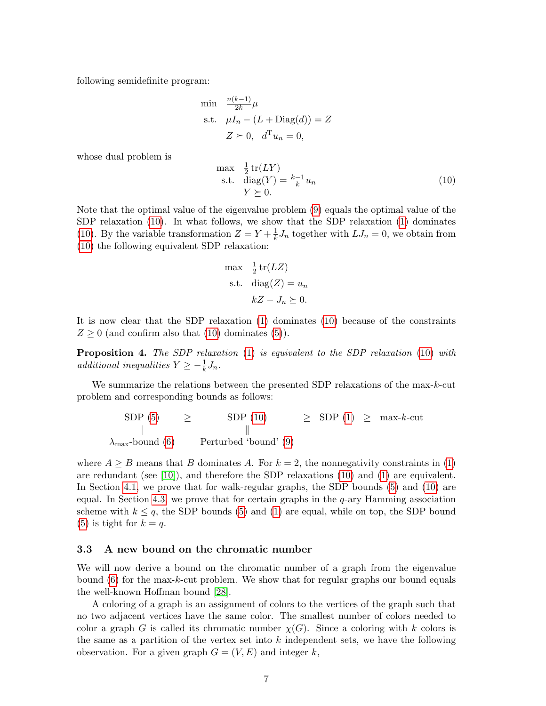following semidefinite program:

$$
\begin{aligned}\n\min & \quad \frac{n(k-1)}{2k} \mu \\
\text{s.t.} & \quad \mu I_n - (L + \text{Diag}(d)) = Z \\
& Z \succeq 0, \quad d^{\text{T}} u_n = 0,\n\end{aligned}
$$

whose dual problem is

<span id="page-6-1"></span>
$$
\begin{array}{ll}\n\max & \frac{1}{2}\operatorname{tr}(LY) \\
\text{s.t.} & \operatorname{diag}(Y) = \frac{k-1}{k}u_n \\
& Y \succeq 0.\n\end{array} \tag{10}
$$

Note that the optimal value of the eigenvalue problem [\(9\)](#page-5-5) equals the optimal value of the SDP relaxation [\(10\)](#page-6-1). In what follows, we show that the SDP relaxation [\(1\)](#page-2-1) dominates [\(10\)](#page-6-1). By the variable transformation  $Z = Y + \frac{1}{k}$  $\frac{1}{k}J_n$  together with  $LJ_n = 0$ , we obtain from [\(10\)](#page-6-1) the following equivalent SDP relaxation:

$$
\max \frac{1}{2} \operatorname{tr}(LZ)
$$
  
s.t. 
$$
\operatorname{diag}(Z) = u_n
$$

$$
kZ - J_n \succeq 0.
$$

It is now clear that the SDP relaxation [\(1\)](#page-2-1) dominates [\(10\)](#page-6-1) because of the constraints  $Z \geq 0$  (and confirm also that [\(10\)](#page-6-1) dominates [\(5\)](#page-4-1)).

<span id="page-6-2"></span>Proposition 4. The SDP relaxation [\(1\)](#page-2-1) is equivalent to the SDP relaxation [\(10\)](#page-6-1) with additional inequalities  $Y \geq -\frac{1}{k}J_n$ .

We summarize the relations between the presented SDP relaxations of the max-k-cut problem and corresponding bounds as follows:

$$
\begin{array}{ccc}\n\text{SDP (5)} & \geq & \text{SDP (10)} & \geq & \text{SDP (1)} & \geq & \text{max-}k\text{-cut} \\
\parallel & & \parallel & & \parallel \\
\lambda_{\text{max}}\text{-bound (6)} & & \text{Perturbed 'bound' (9)}\n\end{array}
$$

where  $A \geq B$  means that B dominates A. For  $k = 2$ , the nonnegativity constraints in [\(1\)](#page-2-1) are redundant (see [\[10\]](#page-14-15)), and therefore the SDP relaxations [\(10\)](#page-6-1) and [\(1\)](#page-2-1) are equivalent. In Section [4.1,](#page-8-0) we prove that for walk-regular graphs, the SDP bounds [\(5\)](#page-4-1) and [\(10\)](#page-6-1) are equal. In Section [4.3,](#page-11-0) we prove that for certain graphs in the  $q$ -ary Hamming association scheme with  $k \leq q$ , the SDP bounds [\(5\)](#page-4-1) and [\(1\)](#page-2-1) are equal, while on top, the SDP bound [\(5\)](#page-4-1) is tight for  $k = q$ .

### <span id="page-6-0"></span>3.3 A new bound on the chromatic number

We will now derive a bound on the chromatic number of a graph from the eigenvalue bound [\(6\)](#page-5-3) for the max-k-cut problem. We show that for regular graphs our bound equals the well-known Hoffman bound [\[28\]](#page-15-8).

A coloring of a graph is an assignment of colors to the vertices of the graph such that no two adjacent vertices have the same color. The smallest number of colors needed to color a graph G is called its chromatic number  $\chi(G)$ . Since a coloring with k colors is the same as a partition of the vertex set into  $k$  independent sets, we have the following observation. For a given graph  $G = (V, E)$  and integer k,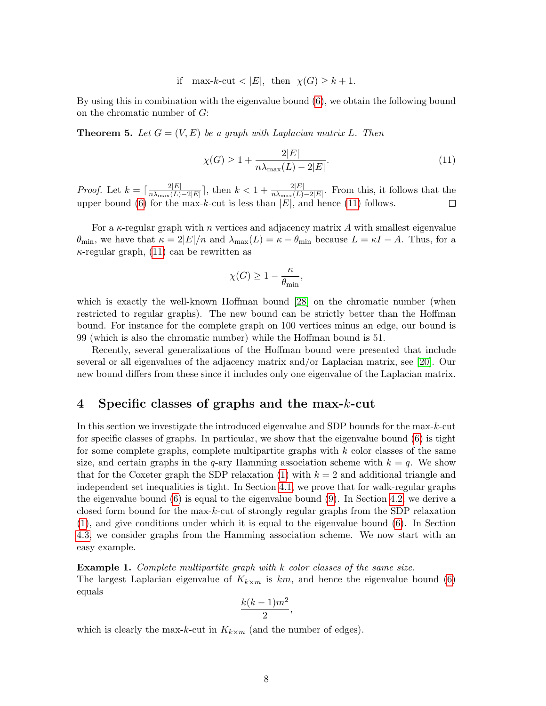if max-k-cut  $\langle |E|, \text{ then } \chi(G) \geq k+1.$ 

By using this in combination with the eigenvalue bound [\(6\)](#page-5-3), we obtain the following bound on the chromatic number of G:

**Theorem 5.** Let  $G = (V, E)$  be a graph with Laplacian matrix L. Then

<span id="page-7-1"></span>
$$
\chi(G) \ge 1 + \frac{2|E|}{n\lambda_{\max}(L) - 2|E|}.
$$
\n(11)

*Proof.* Let  $k = \lceil \frac{2|E|}{n} \rceil$  $\frac{2|E|}{n\lambda_{\max}(L)-2|E|}$ , then  $k < 1 + \frac{2|E|}{n\lambda_{\max}(L)-2|E|}$ . From this, it follows that the upper bound [\(6\)](#page-5-3) for the max-k-cut is less than  $|E|$ , and hence [\(11\)](#page-7-1) follows.

For a  $\kappa$ -regular graph with n vertices and adjacency matrix A with smallest eigenvalue  $\theta_{\min}$ , we have that  $\kappa = 2|E|/n$  and  $\lambda_{\max}(L) = \kappa - \theta_{\min}$  because  $L = \kappa I - A$ . Thus, for a  $\kappa$ -regular graph, [\(11\)](#page-7-1) can be rewritten as

$$
\chi(G) \ge 1 - \frac{\kappa}{\theta_{\min}},
$$

which is exactly the well-known Hoffman bound [\[28\]](#page-15-8) on the chromatic number (when restricted to regular graphs). The new bound can be strictly better than the Hoffman bound. For instance for the complete graph on 100 vertices minus an edge, our bound is 99 (which is also the chromatic number) while the Hoffman bound is 51.

Recently, several generalizations of the Hoffman bound were presented that include several or all eigenvalues of the adjacency matrix and/or Laplacian matrix, see [\[20\]](#page-14-19). Our new bound differs from these since it includes only one eigenvalue of the Laplacian matrix.

# <span id="page-7-0"></span>4 Specific classes of graphs and the max-k-cut

In this section we investigate the introduced eigenvalue and SDP bounds for the max-k-cut for specific classes of graphs. In particular, we show that the eigenvalue bound [\(6\)](#page-5-3) is tight for some complete graphs, complete multipartite graphs with  $k$  color classes of the same size, and certain graphs in the q-ary Hamming association scheme with  $k = q$ . We show that for the Coxeter graph the SDP relaxation [\(1\)](#page-2-1) with  $k = 2$  and additional triangle and independent set inequalities is tight. In Section [4.1,](#page-8-0) we prove that for walk-regular graphs the eigenvalue bound  $(6)$  is equal to the eigenvalue bound  $(9)$ . In Section [4.2,](#page-10-0) we derive a closed form bound for the max-k-cut of strongly regular graphs from the SDP relaxation [\(1\)](#page-2-1), and give conditions under which it is equal to the eigenvalue bound [\(6\)](#page-5-3). In Section [4.3,](#page-11-0) we consider graphs from the Hamming association scheme. We now start with an easy example.

Example 1. Complete multipartite graph with k color classes of the same size. The largest Laplacian eigenvalue of  $K_{k\times m}$  is km, and hence the eigenvalue bound [\(6\)](#page-5-3) equals

$$
\frac{k(k-1)m^2}{2},
$$

which is clearly the max-k-cut in  $K_{k \times m}$  (and the number of edges).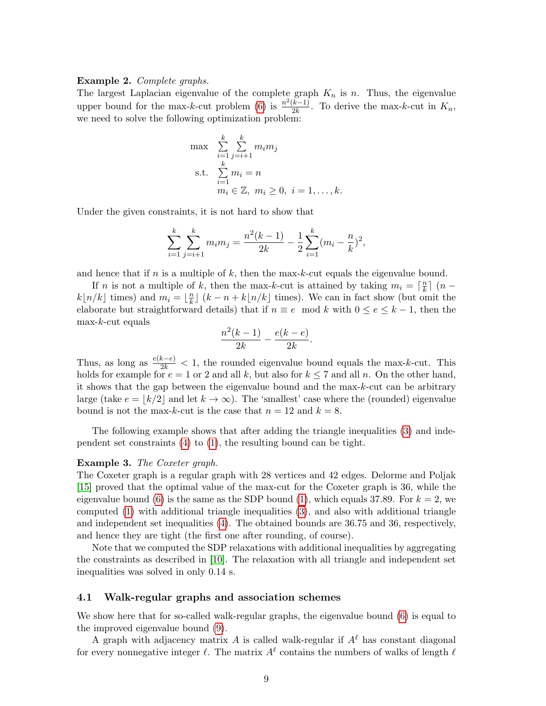### Example 2. Complete graphs.

The largest Laplacian eigenvalue of the complete graph  $K_n$  is n. Thus, the eigenvalue upper bound for the max-k-cut problem [\(6\)](#page-5-3) is  $\frac{n^2(k-1)}{2k}$  $\frac{k-1}{2k}$ . To derive the max-k-cut in  $K_n$ , we need to solve the following optimization problem:

$$
\max \sum_{i=1}^{k} \sum_{j=i+1}^{k} m_i m_j
$$
\n
$$
\text{s.t.} \quad \sum_{i=1}^{k} m_i = n
$$
\n
$$
m_i \in \mathbb{Z}, \ m_i \ge 0, \ i = 1, \dots, k.
$$

Under the given constraints, it is not hard to show that

$$
\sum_{i=1}^{k} \sum_{j=i+1}^{k} m_i m_j = \frac{n^2(k-1)}{2k} - \frac{1}{2} \sum_{i=1}^{k} (m_i - \frac{n}{k})^2,
$$

and hence that if  $n$  is a multiple of  $k$ , then the max-k-cut equals the eigenvalue bound.

If *n* is not a multiple of *k*, then the max-k-cut is attained by taking  $m_i = \lceil \frac{n}{k} \rceil$  $\frac{n}{k}$ ] (n –  $k\lfloor n/k \rfloor$  times) and  $m_i = \lfloor \frac{n}{k} \rfloor$  $\frac{n}{k}$  (k – n + k|n/k] times). We can in fact show (but omit the elaborate but straightforward details) that if  $n \equiv e \mod k$  with  $0 \le e \le k-1$ , then the  $max-k$ -cut equals

$$
\frac{n^2(k-1)}{2k} - \frac{e(k-e)}{2k}.
$$

Thus, as long as  $\frac{e(k-e)}{2k} < 1$ , the rounded eigenvalue bound equals the max-k-cut. This holds for example for  $e = 1$  or 2 and all k, but also for  $k \le 7$  and all n. On the other hand, it shows that the gap between the eigenvalue bound and the max-k-cut can be arbitrary large (take  $e = |k/2|$  and let  $k \to \infty$ ). The 'smallest' case where the (rounded) eigenvalue bound is not the max-k-cut is the case that  $n = 12$  and  $k = 8$ .

The following example shows that after adding the triangle inequalities [\(3\)](#page-3-0) and independent set constraints [\(4\)](#page-3-1) to [\(1\)](#page-2-1), the resulting bound can be tight.

#### Example 3. The Coxeter graph.

The Coxeter graph is a regular graph with 28 vertices and 42 edges. Delorme and Poljak [\[15\]](#page-14-18) proved that the optimal value of the max-cut for the Coxeter graph is 36, while the eigenvalue bound [\(6\)](#page-5-3) is the same as the SDP bound [\(1\)](#page-2-1), which equals 37.89. For  $k = 2$ , we computed [\(1\)](#page-2-1) with additional triangle inequalities [\(3\)](#page-3-0), and also with additional triangle and independent set inequalities [\(4\)](#page-3-1). The obtained bounds are 36.75 and 36, respectively, and hence they are tight (the first one after rounding, of course).

Note that we computed the SDP relaxations with additional inequalities by aggregating the constraints as described in [\[10\]](#page-14-15). The relaxation with all triangle and independent set inequalities was solved in only 0.14 s.

### <span id="page-8-0"></span>4.1 Walk-regular graphs and association schemes

We show here that for so-called walk-regular graphs, the eigenvalue bound  $(6)$  is equal to the improved eigenvalue bound [\(9\)](#page-5-5).

A graph with adjacency matrix A is called walk-regular if  $A^{\ell}$  has constant diagonal for every nonnegative integer  $\ell$ . The matrix  $A^{\ell}$  contains the numbers of walks of length  $\ell$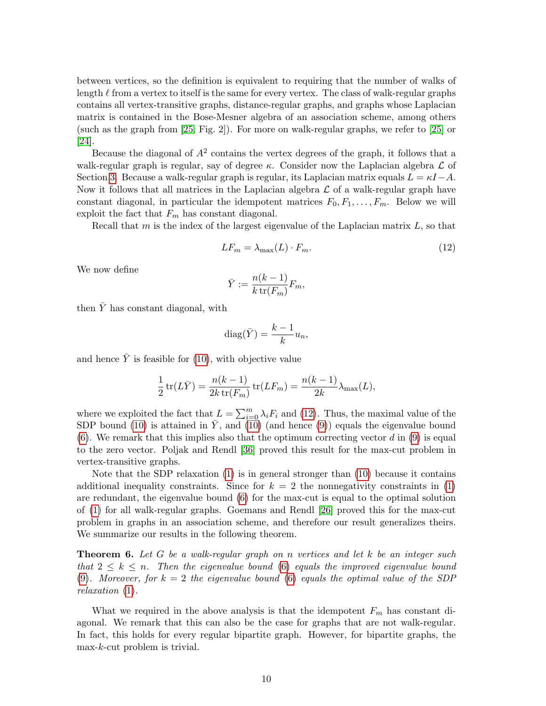between vertices, so the definition is equivalent to requiring that the number of walks of length  $\ell$  from a vertex to itself is the same for every vertex. The class of walk-regular graphs contains all vertex-transitive graphs, distance-regular graphs, and graphs whose Laplacian matrix is contained in the Bose-Mesner algebra of an association scheme, among others (such as the graph from [\[25,](#page-15-13) Fig. 2]). For more on walk-regular graphs, we refer to [\[25\]](#page-15-13) or [\[24\]](#page-14-20).

Because the diagonal of  $A<sup>2</sup>$  contains the vertex degrees of the graph, it follows that a walk-regular graph is regular, say of degree  $\kappa$ . Consider now the Laplacian algebra  $\mathcal L$  of Section [3.](#page-3-2) Because a walk-regular graph is regular, its Laplacian matrix equals  $L = \kappa I - A$ . Now it follows that all matrices in the Laplacian algebra  $\mathcal L$  of a walk-regular graph have constant diagonal, in particular the idempotent matrices  $F_0, F_1, \ldots, F_m$ . Below we will exploit the fact that  $F_m$  has constant diagonal.

Recall that  $m$  is the index of the largest eigenvalue of the Laplacian matrix  $L$ , so that

<span id="page-9-0"></span>
$$
LF_m = \lambda_{\text{max}}(L) \cdot F_m. \tag{12}
$$

We now define

$$
\bar{Y} := \frac{n(k-1)}{k \operatorname{tr}(F_m)} F_m,
$$

then  $\bar{Y}$  has constant diagonal, with

$$
diag(\bar{Y}) = \frac{k-1}{k}u_n,
$$

and hence  $\overline{Y}$  is feasible for [\(10\)](#page-6-1), with objective value

$$
\frac{1}{2}\operatorname{tr}(L\bar{Y}) = \frac{n(k-1)}{2k\operatorname{tr}(F_m)}\operatorname{tr}(LF_m) = \frac{n(k-1)}{2k}\lambda_{\max}(L),
$$

where we exploited the fact that  $L = \sum_{i=0}^{m} \lambda_i F_i$  and [\(12\)](#page-9-0). Thus, the maximal value of the SDP bound [\(10\)](#page-6-1) is attained in  $\overline{Y}$ , and (10) (and hence [\(9\)](#page-5-5)) equals the eigenvalue bound [\(6\)](#page-5-3). We remark that this implies also that the optimum correcting vector d in [\(9\)](#page-5-5) is equal to the zero vector. Poljak and Rendl [\[36\]](#page-15-14) proved this result for the max-cut problem in vertex-transitive graphs.

Note that the SDP relaxation [\(1\)](#page-2-1) is in general stronger than [\(10\)](#page-6-1) because it contains additional inequality constraints. Since for  $k = 2$  the nonnegativity constraints in [\(1\)](#page-2-1) are redundant, the eigenvalue bound [\(6\)](#page-5-3) for the max-cut is equal to the optimal solution of [\(1\)](#page-2-1) for all walk-regular graphs. Goemans and Rendl [\[26\]](#page-15-12) proved this for the max-cut problem in graphs in an association scheme, and therefore our result generalizes theirs. We summarize our results in the following theorem.

**Theorem 6.** Let G be a walk-regular graph on n vertices and let k be an integer such that  $2 \leq k \leq n$ . Then the eigenvalue bound [\(6\)](#page-5-3) equals the improved eigenvalue bound [\(9\)](#page-5-5). Moreover, for  $k = 2$  the eigenvalue bound [\(6\)](#page-5-3) equals the optimal value of the SDP relaxation [\(1\)](#page-2-1).

What we required in the above analysis is that the idempotent  $F_m$  has constant diagonal. We remark that this can also be the case for graphs that are not walk-regular. In fact, this holds for every regular bipartite graph. However, for bipartite graphs, the max-k-cut problem is trivial.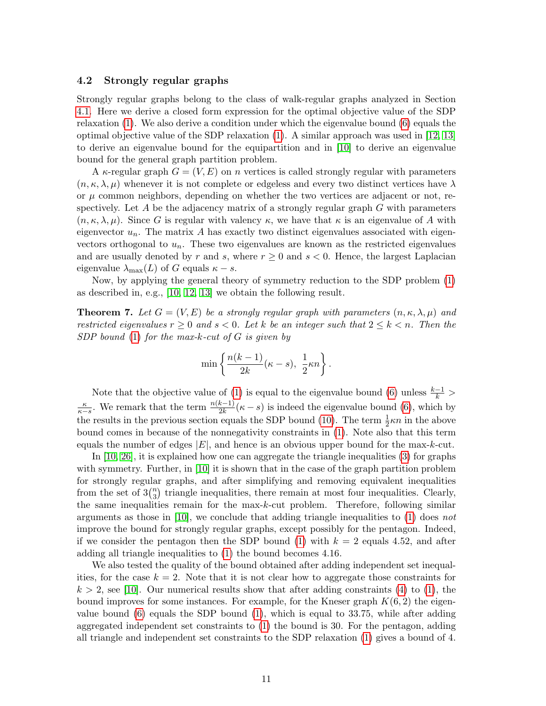### <span id="page-10-0"></span>4.2 Strongly regular graphs

Strongly regular graphs belong to the class of walk-regular graphs analyzed in Section [4.1.](#page-8-0) Here we derive a closed form expression for the optimal objective value of the SDP relaxation [\(1\)](#page-2-1). We also derive a condition under which the eigenvalue bound [\(6\)](#page-5-3) equals the optimal objective value of the SDP relaxation [\(1\)](#page-2-1). A similar approach was used in [\[12,](#page-14-13) [13\]](#page-14-14) to derive an eigenvalue bound for the equipartition and in [\[10\]](#page-14-15) to derive an eigenvalue bound for the general graph partition problem.

A  $\kappa$ -regular graph  $G = (V, E)$  on n vertices is called strongly regular with parameters  $(n, \kappa, \lambda, \mu)$  whenever it is not complete or edgeless and every two distinct vertices have  $\lambda$ or  $\mu$  common neighbors, depending on whether the two vertices are adjacent or not, respectively. Let A be the adjacency matrix of a strongly regular graph  $G$  with parameters  $(n, \kappa, \lambda, \mu)$ . Since G is regular with valency  $\kappa$ , we have that  $\kappa$  is an eigenvalue of A with eigenvector  $u_n$ . The matrix A has exactly two distinct eigenvalues associated with eigenvectors orthogonal to  $u_n$ . These two eigenvalues are known as the restricted eigenvalues and are usually denoted by r and s, where  $r \geq 0$  and  $s < 0$ . Hence, the largest Laplacian eigenvalue  $\lambda_{\max}(L)$  of G equals  $\kappa - s$ .

Now, by applying the general theory of symmetry reduction to the SDP problem [\(1\)](#page-2-1) as described in, e.g., [\[10,](#page-14-15) [12,](#page-14-13) [13\]](#page-14-14) we obtain the following result.

**Theorem 7.** Let  $G = (V, E)$  be a strongly regular graph with parameters  $(n, \kappa, \lambda, \mu)$  and restricted eigenvalues  $r \geq 0$  and  $s < 0$ . Let k be an integer such that  $2 \leq k < n$ . Then the SDP bound  $(1)$  for the max-k-cut of G is given by

$$
\min \left\{ \frac{n(k-1)}{2k}(\kappa - s), \frac{1}{2}\kappa n \right\}.
$$

Note that the objective value of [\(1\)](#page-2-1) is equal to the eigenvalue bound [\(6\)](#page-5-3) unless  $\frac{k-1}{k}$  $\frac{\kappa}{\kappa-s}$ . We remark that the term  $\frac{n(k-1)}{2k}(\kappa-s)$  is indeed the eigenvalue bound [\(6\)](#page-5-3), which by the results in the previous section equals the SDP bound [\(10\)](#page-6-1). The term  $\frac{1}{2}\kappa n$  in the above bound comes in because of the nonnegativity constraints in [\(1\)](#page-2-1). Note also that this term equals the number of edges  $|E|$ , and hence is an obvious upper bound for the max-k-cut.

In  $[10, 26]$  $[10, 26]$ , it is explained how one can aggregate the triangle inequalities  $(3)$  for graphs with symmetry. Further, in [\[10\]](#page-14-15) it is shown that in the case of the graph partition problem for strongly regular graphs, and after simplifying and removing equivalent inequalities from the set of  $3\binom{n}{3}$  $n_3$ ) triangle inequalities, there remain at most four inequalities. Clearly, the same inequalities remain for the max-k-cut problem. Therefore, following similar arguments as those in [\[10\]](#page-14-15), we conclude that adding triangle inequalities to [\(1\)](#page-2-1) does not improve the bound for strongly regular graphs, except possibly for the pentagon. Indeed, if we consider the pentagon then the SDP bound [\(1\)](#page-2-1) with  $k = 2$  equals 4.52, and after adding all triangle inequalities to [\(1\)](#page-2-1) the bound becomes 4.16.

We also tested the quality of the bound obtained after adding independent set inequalities, for the case  $k = 2$ . Note that it is not clear how to aggregate those constraints for  $k > 2$ , see [\[10\]](#page-14-15). Our numerical results show that after adding constraints [\(4\)](#page-3-1) to [\(1\)](#page-2-1), the bound improves for some instances. For example, for the Kneser graph  $K(6, 2)$  the eigenvalue bound  $(6)$  equals the SDP bound  $(1)$ , which is equal to 33.75, while after adding aggregated independent set constraints to [\(1\)](#page-2-1) the bound is 30. For the pentagon, adding all triangle and independent set constraints to the SDP relaxation [\(1\)](#page-2-1) gives a bound of 4.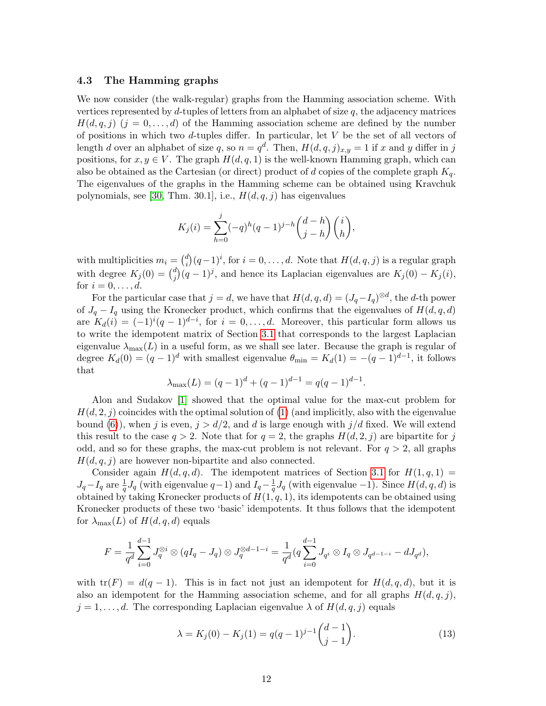## <span id="page-11-0"></span>4.3 The Hamming graphs

We now consider (the walk-regular) graphs from the Hamming association scheme. With vertices represented by  $d$ -tuples of letters from an alphabet of size  $q$ , the adjacency matrices  $H(d, q, i)$   $(i = 0, \ldots, d)$  of the Hamming association scheme are defined by the number of positions in which two d-tuples differ. In particular, let  $V$  be the set of all vectors of length d over an alphabet of size q, so  $n = q^d$ . Then,  $H(d, q, j)_{x,y} = 1$  if x and y differ in j positions, for  $x, y \in V$ . The graph  $H(d, q, 1)$  is the well-known Hamming graph, which can also be obtained as the Cartesian (or direct) product of d copies of the complete graph  $K_q$ . The eigenvalues of the graphs in the Hamming scheme can be obtained using Kravchuk polynomials, see [\[30,](#page-15-15) Thm. 30.1], i.e.,  $H(d,q, j)$  has eigenvalues

$$
K_j(i) = \sum_{h=0}^j (-q)^h (q-1)^{j-h} {d-h \choose j-h} {i \choose h},
$$

with multiplicities  $m_i = \binom{d}{i}$  $i_j^d$  $(q-1)^i$ , for  $i = 0, \ldots, d$ . Note that  $H(d, q, j)$  is a regular graph with degree  $K_j(0) = {d_i \choose i}$  $j^d(j)(q-1)^j$ , and hence its Laplacian eigenvalues are  $K_j(0) - K_j(i)$ , for  $i = 0, \ldots, d$ .

For the particular case that  $j = d$ , we have that  $H(d, q, d) = (J_q - I_q)^{\otimes d}$ , the d-th power of  $J_q - I_q$  using the Kronecker product, which confirms that the eigenvalues of  $H(d, q, d)$ are  $K_d(i) = (-1)^i (q-1)^{d-i}$ , for  $i = 0, \ldots, d$ . Moreover, this particular form allows us to write the idempotent matrix of Section [3.1](#page-4-0) that corresponds to the largest Laplacian eigenvalue  $\lambda_{\text{max}}(L)$  in a useful form, as we shall see later. Because the graph is regular of degree  $K_d(0) = (q-1)^d$  with smallest eigenvalue  $\theta_{\min} = K_d(1) = -(q-1)^{d-1}$ , it follows that

$$
\lambda_{\max}(L) = (q-1)^d + (q-1)^{d-1} = q(q-1)^{d-1}.
$$

Alon and Sudakov [\[1\]](#page-13-2) showed that the optimal value for the max-cut problem for  $H(d, 2, i)$  coincides with the optimal solution of [\(1\)](#page-2-1) (and implicitly, also with the eigenvalue bound [\(6\)](#page-5-3)), when j is even,  $j > d/2$ , and d is large enough with  $j/d$  fixed. We will extend this result to the case  $q > 2$ . Note that for  $q = 2$ , the graphs  $H(d, 2, j)$  are bipartite for j odd, and so for these graphs, the max-cut problem is not relevant. For  $q > 2$ , all graphs  $H(d, q, j)$  are however non-bipartite and also connected.

Consider again  $H(d, q, d)$ . The idempotent matrices of Section [3.1](#page-4-0) for  $H(1, q, 1)$  =  $J_q - I_q$  are  $\frac{1}{q}J_q$  (with eigenvalue  $q-1$ ) and  $I_q - \frac{1}{q}$  $\frac{1}{q}J_q$  (with eigenvalue -1). Since  $H(d, q, d)$  is obtained by taking Kronecker products of  $H(1, q, 1)$ , its idempotents can be obtained using Kronecker products of these two 'basic' idempotents. It thus follows that the idempotent for  $\lambda_{\text{max}}(L)$  of  $H(d, q, d)$  equals

$$
F = \frac{1}{q^d} \sum_{i=0}^{d-1} J_q^{\otimes i} \otimes (qI_q - J_q) \otimes J_q^{\otimes d-1-i} = \frac{1}{q^d} (q \sum_{i=0}^{d-1} J_{q^i} \otimes I_q \otimes J_{q^{d-1-i}} - dJ_{q^d}),
$$

with  $tr(F) = d(q-1)$ . This is in fact not just an idempotent for  $H(d, q, d)$ , but it is also an idempotent for the Hamming association scheme, and for all graphs  $H(d, q, j)$ ,  $j = 1, \ldots, d$ . The corresponding Laplacian eigenvalue  $\lambda$  of  $H(d, q, j)$  equals

<span id="page-11-1"></span>
$$
\lambda = K_j(0) - K_j(1) = q(q-1)^{j-1} \binom{d-1}{j-1}.
$$
\n(13)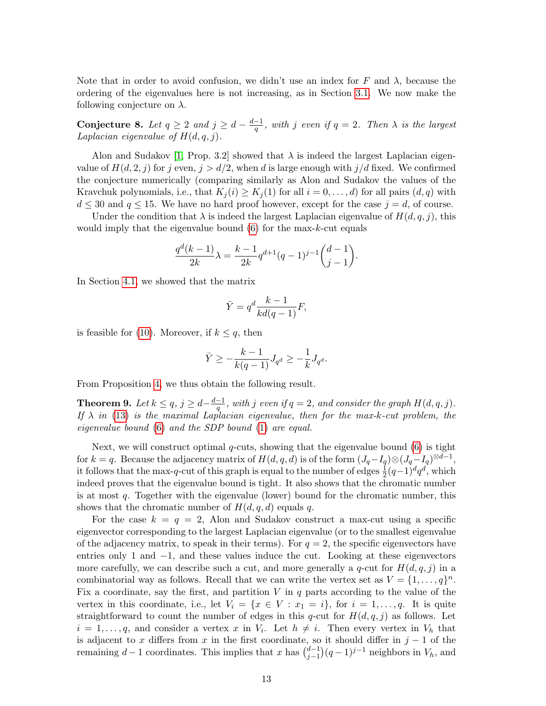Note that in order to avoid confusion, we didn't use an index for F and  $\lambda$ , because the ordering of the eigenvalues here is not increasing, as in Section [3.1.](#page-4-0) We now make the following conjecture on  $\lambda$ .

<span id="page-12-0"></span>Conjecture 8. Let  $q \ge 2$  and  $j \ge d - \frac{d-1}{q}$  $\frac{-1}{q}$ , with j even if  $q=2$ . Then  $\lambda$  is the largest Laplacian eigenvalue of  $H(d, q, j)$ .

Alon and Sudakov [\[1,](#page-13-2) Prop. 3.2] showed that  $\lambda$  is indeed the largest Laplacian eigenvalue of  $H(d, 2, j)$  for j even,  $j > d/2$ , when d is large enough with  $j/d$  fixed. We confirmed the conjecture numerically (comparing similarly as Alon and Sudakov the values of the Kravchuk polynomials, i.e., that  $K_i(i) \geq K_i(1)$  for all  $i = 0, \ldots, d$  for all pairs  $(d, q)$  with  $d \leq 30$  and  $q \leq 15$ . We have no hard proof however, except for the case  $j = d$ , of course.

Under the condition that  $\lambda$  is indeed the largest Laplacian eigenvalue of  $H(d, q, j)$ , this would imply that the eigenvalue bound  $(6)$  for the max-k-cut equals

$$
\frac{q^d(k-1)}{2k}\lambda = \frac{k-1}{2k}q^{d+1}(q-1)^{j-1}\binom{d-1}{j-1}.
$$

In Section [4.1,](#page-8-0) we showed that the matrix

$$
\bar{Y} = q^d \frac{k-1}{kd(q-1)} F,
$$

is feasible for [\(10\)](#page-6-1). Moreover, if  $k \leq q$ , then

$$
\bar Y\geq -\frac{k-1}{k(q-1)}J_{q^d}\geq -\frac{1}{k}J_{q^d}.
$$

From Proposition [4,](#page-6-2) we thus obtain the following result.

**Theorem 9.** Let  $k \leq q$ ,  $j \geq d - \frac{d-1}{q}$  $\frac{-1}{q}$ , with j even if  $q=2$ , and consider the graph  $H(d,q,j)$ . If  $\lambda$  in [\(13\)](#page-11-1) is the maximal Laplacian eigenvalue, then for the max-k-cut problem, the eigenvalue bound [\(6\)](#page-5-3) and the SDP bound [\(1\)](#page-2-1) are equal.

Next, we will construct optimal  $q$ -cuts, showing that the eigenvalue bound  $(6)$  is tight for  $k = q$ . Because the adjacency matrix of  $H(d, q, d)$  is of the form  $(J_q - I_q) \otimes (J_q - I_q)^{\otimes d-1}$ , it follows that the max-q-cut of this graph is equal to the number of edges  $\frac{1}{2}(q-1)^dq^d$ , which indeed proves that the eigenvalue bound is tight. It also shows that the chromatic number is at most  $q$ . Together with the eigenvalue (lower) bound for the chromatic number, this shows that the chromatic number of  $H(d, q, d)$  equals q.

For the case  $k = q = 2$ , Alon and Sudakov construct a max-cut using a specific eigenvector corresponding to the largest Laplacian eigenvalue (or to the smallest eigenvalue of the adjacency matrix, to speak in their terms). For  $q = 2$ , the specific eigenvectors have entries only 1 and −1, and these values induce the cut. Looking at these eigenvectors more carefully, we can describe such a cut, and more generally a q-cut for  $H(d, q, j)$  in a combinatorial way as follows. Recall that we can write the vertex set as  $V = \{1, \ldots, q\}^n$ . Fix a coordinate, say the first, and partition V in  $q$  parts according to the value of the vertex in this coordinate, i.e., let  $V_i = \{x \in V : x_1 = i\}$ , for  $i = 1, \ldots, q$ . It is quite straightforward to count the number of edges in this q-cut for  $H(d, q, j)$  as follows. Let  $i = 1, \ldots, q$ , and consider a vertex x in  $V_i$ . Let  $h \neq i$ . Then every vertex in  $V_h$  that is adjacent to x differs from x in the first coordinate, so it should differ in  $j-1$  of the remaining  $d-1$  coordinates. This implies that x has  $\binom{d-1}{i-1}$  $j_{j-1}^{d-1}$  (q – 1)<sup>j-1</sup> neighbors in  $V_h$ , and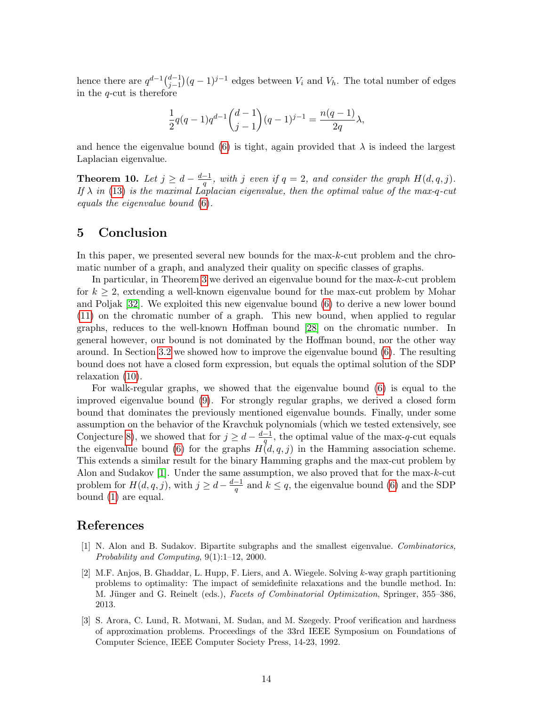hence there are  $q^{d-1} \binom{d-1}{i-1}$  $j_{j-1}^{d-1}$  (q – 1)<sup>j-1</sup> edges between  $V_i$  and  $V_h$ . The total number of edges in the  $q$ -cut is therefore

$$
\frac{1}{2}q(q-1)q^{d-1}\binom{d-1}{j-1}(q-1)^{j-1} = \frac{n(q-1)}{2q}\lambda,
$$

and hence the eigenvalue bound [\(6\)](#page-5-3) is tight, again provided that  $\lambda$  is indeed the largest Laplacian eigenvalue.

Theorem 10. Let  $j \geq d - \frac{d-1}{a}$  $\frac{-1}{q}$ , with j even if  $q=2$ , and consider the graph  $H(d,q,j)$ . If  $\lambda$  in [\(13\)](#page-11-1) is the maximal Laplacian eigenvalue, then the optimal value of the max-q-cut equals the eigenvalue bound [\(6\)](#page-5-3).

# 5 Conclusion

In this paper, we presented several new bounds for the max-k-cut problem and the chromatic number of a graph, and analyzed their quality on specific classes of graphs.

In particular, in Theorem [3](#page-5-4) we derived an eigenvalue bound for the max-k-cut problem for  $k \geq 2$ , extending a well-known eigenvalue bound for the max-cut problem by Mohar and Poljak [\[32\]](#page-15-3). We exploited this new eigenvalue bound [\(6\)](#page-5-3) to derive a new lower bound [\(11\)](#page-7-1) on the chromatic number of a graph. This new bound, when applied to regular graphs, reduces to the well-known Hoffman bound [\[28\]](#page-15-8) on the chromatic number. In general however, our bound is not dominated by the Hoffman bound, nor the other way around. In Section [3.2](#page-5-0) we showed how to improve the eigenvalue bound [\(6\)](#page-5-3). The resulting bound does not have a closed form expression, but equals the optimal solution of the SDP relaxation [\(10\)](#page-6-1).

For walk-regular graphs, we showed that the eigenvalue bound [\(6\)](#page-5-3) is equal to the improved eigenvalue bound [\(9\)](#page-5-5). For strongly regular graphs, we derived a closed form bound that dominates the previously mentioned eigenvalue bounds. Finally, under some assumption on the behavior of the Kravchuk polynomials (which we tested extensively, see Conjecture [8\)](#page-12-0), we showed that for  $j \geq d - \frac{d-1}{a}$  $\frac{-1}{q}$ , the optimal value of the max-q-cut equals the eigenvalue bound [\(6\)](#page-5-3) for the graphs  $H(d, q, j)$  in the Hamming association scheme. This extends a similar result for the binary Hamming graphs and the max-cut problem by Alon and Sudakov [\[1\]](#page-13-2). Under the same assumption, we also proved that for the max-k-cut problem for  $H(d, q, j)$ , with  $j \geq d - \frac{d-1}{q}$  $\frac{-1}{q}$  and  $k \leq q$ , the eigenvalue bound [\(6\)](#page-5-3) and the SDP bound [\(1\)](#page-2-1) are equal.

## References

- <span id="page-13-2"></span>[1] N. Alon and B. Sudakov. Bipartite subgraphs and the smallest eigenvalue. Combinatorics, Probability and Computing, 9(1):1–12, 2000.
- <span id="page-13-1"></span>[2] M.F. Anjos, B. Ghaddar, L. Hupp, F. Liers, and A. Wiegele. Solving k-way graph partitioning problems to optimality: The impact of semidefinite relaxations and the bundle method. In: M. Jünger and G. Reinelt (eds.), Facets of Combinatorial Optimization, Springer, 355–386, 2013.
- <span id="page-13-0"></span>[3] S. Arora, C. Lund, R. Motwani, M. Sudan, and M. Szegedy. Proof verification and hardness of approximation problems. Proceedings of the 33rd IEEE Symposium on Foundations of Computer Science, IEEE Computer Society Press, 14-23, 1992.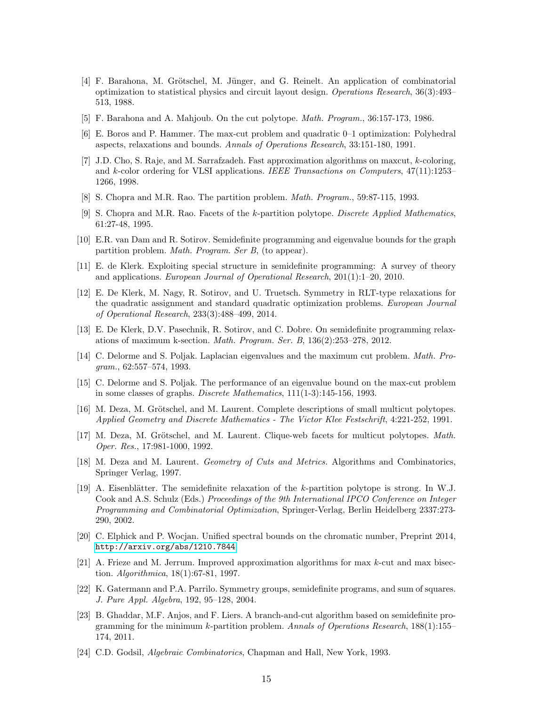- <span id="page-14-0"></span>[4] F. Barahona, M. Grötschel, M. Jünger, and G. Reinelt. An application of combinatorial optimization to statistical physics and circuit layout design. Operations Research, 36(3):493– 513, 1988.
- <span id="page-14-3"></span>[5] F. Barahona and A. Mahjoub. On the cut polytope. Math. Program., 36:157-173, 1986.
- <span id="page-14-4"></span>[6] E. Boros and P. Hammer. The max-cut problem and quadratic 0–1 optimization: Polyhedral aspects, relaxations and bounds. Annals of Operations Research, 33:151-180, 1991.
- <span id="page-14-1"></span>[7] J.D. Cho, S. Raje, and M. Sarrafzadeh. Fast approximation algorithms on maxcut, k-coloring, and k-color ordering for VLSI applications. IEEE Transactions on Computers, 47(11):1253– 1266, 1998.
- <span id="page-14-6"></span>[8] S. Chopra and M.R. Rao. The partition problem. Math. Program., 59:87-115, 1993.
- <span id="page-14-7"></span>[9] S. Chopra and M.R. Rao. Facets of the k-partition polytope. Discrete Applied Mathematics, 61:27-48, 1995.
- <span id="page-14-15"></span>[10] E.R. van Dam and R. Sotirov. Semidefinite programming and eigenvalue bounds for the graph partition problem. Math. Program. Ser B, (to appear).
- <span id="page-14-17"></span>[11] E. de Klerk. Exploiting special structure in semidefinite programming: A survey of theory and applications. European Journal of Operational Research, 201(1):1–20, 2010.
- <span id="page-14-13"></span>[12] E. De Klerk, M. Nagy, R. Sotirov, and U. Truetsch. Symmetry in RLT-type relaxations for the quadratic assignment and standard quadratic optimization problems. European Journal of Operational Research, 233(3):488–499, 2014.
- <span id="page-14-14"></span>[13] E. De Klerk, D.V. Pasechnik, R. Sotirov, and C. Dobre. On semidefinite programming relaxations of maximum k-section. Math. Program. Ser. B, 136(2):253–278, 2012.
- <span id="page-14-5"></span>[14] C. Delorme and S. Poljak. Laplacian eigenvalues and the maximum cut problem. Math. Program., 62:557–574, 1993.
- <span id="page-14-18"></span>[15] C. Delorme and S. Poljak. The performance of an eigenvalue bound on the max-cut problem in some classes of graphs. Discrete Mathematics, 111(1-3):145-156, 1993.
- <span id="page-14-8"></span>[16] M. Deza, M. Grötschel, and M. Laurent. Complete descriptions of small multicut polytopes. Applied Geometry and Discrete Mathematics - The Victor Klee Festschrift, 4:221-252, 1991.
- <span id="page-14-9"></span>[17] M. Deza, M. Grötschel, and M. Laurent. Clique-web facets for multicut polytopes. Math. Oper. Res., 17:981-1000, 1992.
- <span id="page-14-10"></span>[18] M. Deza and M. Laurent. *Geometry of Cuts and Metrics*. Algorithms and Combinatorics, Springer Verlag, 1997.
- <span id="page-14-2"></span>[19] A. Eisenblätter. The semidefinite relaxation of the k-partition polytope is strong. In W.J. Cook and A.S. Schulz (Eds.) Proceedings of the 9th International IPCO Conference on Integer Programming and Combinatorial Optimization, Springer-Verlag, Berlin Heidelberg 2337:273- 290, 2002.
- <span id="page-14-19"></span>[20] C. Elphick and P. Wocjan. Unified spectral bounds on the chromatic number, Preprint 2014, <http://arxiv.org/abs/1210.7844>
- <span id="page-14-11"></span>[21] A. Frieze and M. Jerrum. Improved approximation algorithms for max  $k$ -cut and max bisection. Algorithmica, 18(1):67-81, 1997.
- <span id="page-14-16"></span>[22] K. Gatermann and P.A. Parrilo. Symmetry groups, semidefinite programs, and sum of squares. J. Pure Appl. Algebra, 192, 95–128, 2004.
- <span id="page-14-12"></span>[23] B. Ghaddar, M.F. Anjos, and F. Liers. A branch-and-cut algorithm based on semidefinite programming for the minimum k-partition problem. Annals of Operations Research,  $188(1):155-$ 174, 2011.
- <span id="page-14-20"></span>[24] C.D. Godsil, Algebraic Combinatorics, Chapman and Hall, New York, 1993.